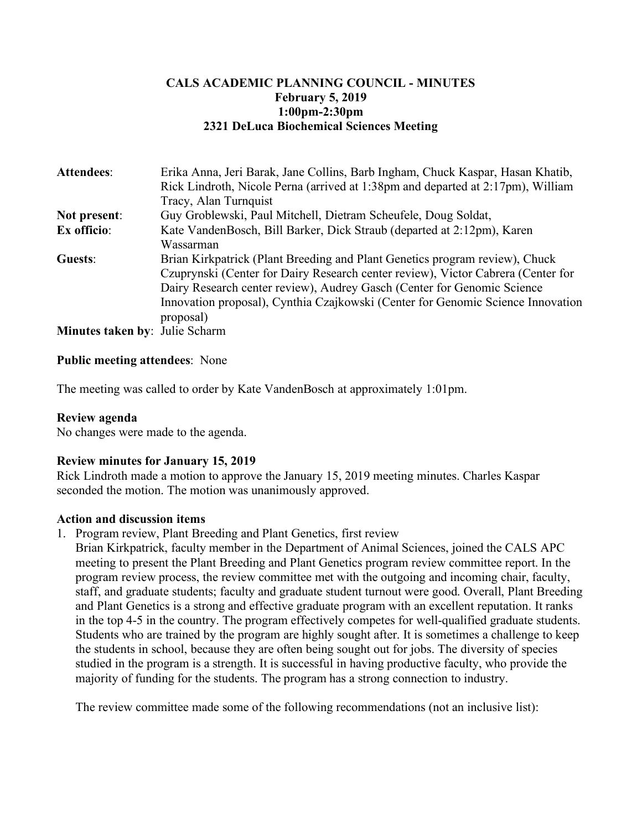# **CALS ACADEMIC PLANNING COUNCIL - MINUTES February 5, 2019 1:00pm-2:30pm 2321 DeLuca Biochemical Sciences Meeting**

| Attendees:                            | Erika Anna, Jeri Barak, Jane Collins, Barb Ingham, Chuck Kaspar, Hasan Khatib,   |
|---------------------------------------|----------------------------------------------------------------------------------|
|                                       | Rick Lindroth, Nicole Perna (arrived at 1:38pm and departed at 2:17pm), William  |
|                                       | Tracy, Alan Turnquist                                                            |
| Not present:                          | Guy Groblewski, Paul Mitchell, Dietram Scheufele, Doug Soldat,                   |
| Ex officio:                           | Kate VandenBosch, Bill Barker, Dick Straub (departed at 2:12pm), Karen           |
|                                       | Wassarman                                                                        |
| Guests:                               | Brian Kirkpatrick (Plant Breeding and Plant Genetics program review), Chuck      |
|                                       | Czuprynski (Center for Dairy Research center review), Victor Cabrera (Center for |
|                                       | Dairy Research center review), Audrey Gasch (Center for Genomic Science          |
|                                       | Innovation proposal), Cynthia Czajkowski (Center for Genomic Science Innovation  |
|                                       | proposal)                                                                        |
| <b>Minutes taken by: Julie Scharm</b> |                                                                                  |

### **Public meeting attendees**: None

The meeting was called to order by Kate VandenBosch at approximately 1:01pm.

#### **Review agenda**

No changes were made to the agenda.

#### **Review minutes for January 15, 2019**

Rick Lindroth made a motion to approve the January 15, 2019 meeting minutes. Charles Kaspar seconded the motion. The motion was unanimously approved.

### **Action and discussion items**

1. Program review, Plant Breeding and Plant Genetics, first review

Brian Kirkpatrick, faculty member in the Department of Animal Sciences, joined the CALS APC meeting to present the Plant Breeding and Plant Genetics program review committee report. In the program review process, the review committee met with the outgoing and incoming chair, faculty, staff, and graduate students; faculty and graduate student turnout were good. Overall, Plant Breeding and Plant Genetics is a strong and effective graduate program with an excellent reputation. It ranks in the top 4-5 in the country. The program effectively competes for well-qualified graduate students. Students who are trained by the program are highly sought after. It is sometimes a challenge to keep the students in school, because they are often being sought out for jobs. The diversity of species studied in the program is a strength. It is successful in having productive faculty, who provide the majority of funding for the students. The program has a strong connection to industry.

The review committee made some of the following recommendations (not an inclusive list):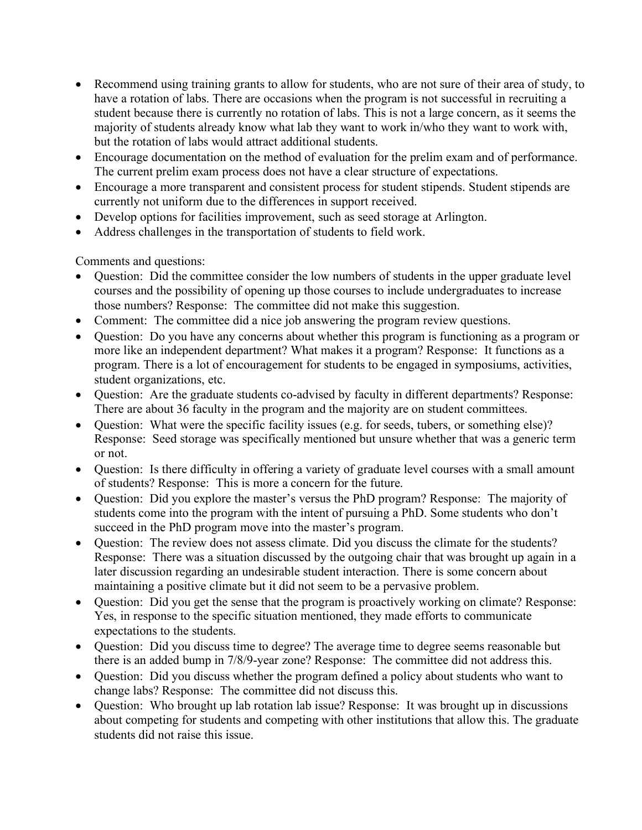- Recommend using training grants to allow for students, who are not sure of their area of study, to have a rotation of labs. There are occasions when the program is not successful in recruiting a student because there is currently no rotation of labs. This is not a large concern, as it seems the majority of students already know what lab they want to work in/who they want to work with, but the rotation of labs would attract additional students.
- Encourage documentation on the method of evaluation for the prelim exam and of performance. The current prelim exam process does not have a clear structure of expectations.
- Encourage a more transparent and consistent process for student stipends. Student stipends are currently not uniform due to the differences in support received.
- Develop options for facilities improvement, such as seed storage at Arlington.
- Address challenges in the transportation of students to field work.

Comments and questions:

- Question: Did the committee consider the low numbers of students in the upper graduate level courses and the possibility of opening up those courses to include undergraduates to increase those numbers? Response: The committee did not make this suggestion.
- Comment: The committee did a nice job answering the program review questions.
- Question: Do you have any concerns about whether this program is functioning as a program or more like an independent department? What makes it a program? Response: It functions as a program. There is a lot of encouragement for students to be engaged in symposiums, activities, student organizations, etc.
- Question: Are the graduate students co-advised by faculty in different departments? Response: There are about 36 faculty in the program and the majority are on student committees.
- Question: What were the specific facility issues (e.g. for seeds, tubers, or something else)? Response: Seed storage was specifically mentioned but unsure whether that was a generic term or not.
- Question: Is there difficulty in offering a variety of graduate level courses with a small amount of students? Response: This is more a concern for the future.
- Question: Did you explore the master's versus the PhD program? Response: The majority of students come into the program with the intent of pursuing a PhD. Some students who don't succeed in the PhD program move into the master's program.
- Question: The review does not assess climate. Did you discuss the climate for the students? Response: There was a situation discussed by the outgoing chair that was brought up again in a later discussion regarding an undesirable student interaction. There is some concern about maintaining a positive climate but it did not seem to be a pervasive problem.
- Question: Did you get the sense that the program is proactively working on climate? Response: Yes, in response to the specific situation mentioned, they made efforts to communicate expectations to the students.
- Question: Did you discuss time to degree? The average time to degree seems reasonable but there is an added bump in 7/8/9-year zone? Response: The committee did not address this.
- Ouestion: Did you discuss whether the program defined a policy about students who want to change labs? Response: The committee did not discuss this.
- Question: Who brought up lab rotation lab issue? Response: It was brought up in discussions about competing for students and competing with other institutions that allow this. The graduate students did not raise this issue.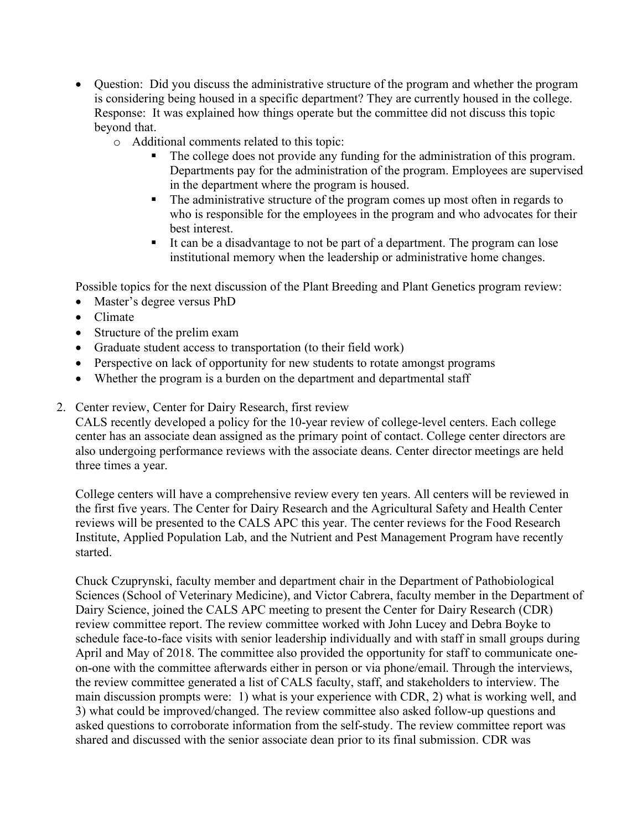- Question: Did you discuss the administrative structure of the program and whether the program is considering being housed in a specific department? They are currently housed in the college. Response: It was explained how things operate but the committee did not discuss this topic beyond that.
	- o Additional comments related to this topic:
		- The college does not provide any funding for the administration of this program. Departments pay for the administration of the program. Employees are supervised in the department where the program is housed.
		- The administrative structure of the program comes up most often in regards to who is responsible for the employees in the program and who advocates for their best interest.
		- It can be a disadvantage to not be part of a department. The program can lose institutional memory when the leadership or administrative home changes.

Possible topics for the next discussion of the Plant Breeding and Plant Genetics program review:

- Master's degree versus PhD
- Climate
- Structure of the prelim exam
- Graduate student access to transportation (to their field work)
- Perspective on lack of opportunity for new students to rotate amongst programs
- Whether the program is a burden on the department and departmental staff
- 2. Center review, Center for Dairy Research, first review

CALS recently developed a policy for the 10-year review of college-level centers. Each college center has an associate dean assigned as the primary point of contact. College center directors are also undergoing performance reviews with the associate deans. Center director meetings are held three times a year.

College centers will have a comprehensive review every ten years. All centers will be reviewed in the first five years. The Center for Dairy Research and the Agricultural Safety and Health Center reviews will be presented to the CALS APC this year. The center reviews for the Food Research Institute, Applied Population Lab, and the Nutrient and Pest Management Program have recently started.

Chuck Czuprynski, faculty member and department chair in the Department of Pathobiological Sciences (School of Veterinary Medicine), and Victor Cabrera, faculty member in the Department of Dairy Science, joined the CALS APC meeting to present the Center for Dairy Research (CDR) review committee report. The review committee worked with John Lucey and Debra Boyke to schedule face-to-face visits with senior leadership individually and with staff in small groups during April and May of 2018. The committee also provided the opportunity for staff to communicate oneon-one with the committee afterwards either in person or via phone/email. Through the interviews, the review committee generated a list of CALS faculty, staff, and stakeholders to interview. The main discussion prompts were: 1) what is your experience with CDR, 2) what is working well, and 3) what could be improved/changed. The review committee also asked follow-up questions and asked questions to corroborate information from the self-study. The review committee report was shared and discussed with the senior associate dean prior to its final submission. CDR was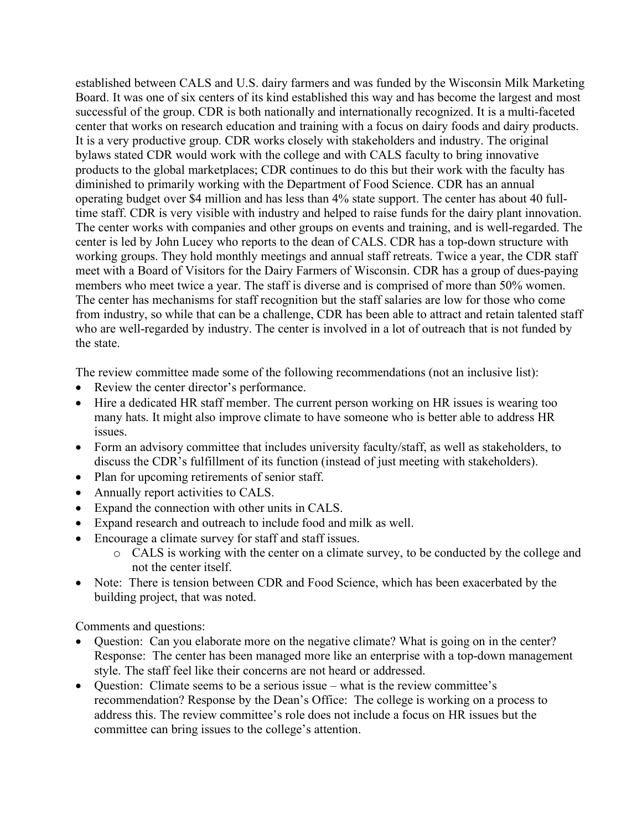established between CALS and U.S. dairy farmers and was funded by the Wisconsin Milk Marketing Board. It was one of six centers of its kind established this way and has become the largest and most successful of the group. CDR is both nationally and internationally recognized. It is a multi-faceted center that works on research education and training with a focus on dairy foods and dairy products. It is a very productive group. CDR works closely with stakeholders and industry. The original bylaws stated CDR would work with the college and with CALS faculty to bring innovative products to the global marketplaces; CDR continues to do this but their work with the faculty has diminished to primarily working with the Department of Food Science. CDR has an annual operating budget over \$4 million and has less than 4% state support. The center has about 40 fulltime staff. CDR is very visible with industry and helped to raise funds for the dairy plant innovation. The center works with companies and other groups on events and training, and is well-regarded. The center is led by John Lucey who reports to the dean of CALS. CDR has a top-down structure with working groups. They hold monthly meetings and annual staff retreats. Twice a year, the CDR staff meet with a Board of Visitors for the Dairy Farmers of Wisconsin. CDR has a group of dues-paying members who meet twice a year. The staff is diverse and is comprised of more than 50% women. The center has mechanisms for staff recognition but the staff salaries are low for those who come from industry, so while that can be a challenge, CDR has been able to attract and retain talented staff who are well-regarded by industry. The center is involved in a lot of outreach that is not funded by the state.

The review committee made some of the following recommendations (not an inclusive list):

- Review the center director's performance.
- Hire a dedicated HR staff member. The current person working on HR issues is wearing too many hats. It might also improve climate to have someone who is better able to address HR issues.
- Form an advisory committee that includes university faculty/staff, as well as stakeholders, to discuss the CDR's fulfillment of its function (instead of just meeting with stakeholders).
- Plan for upcoming retirements of senior staff.
- Annually report activities to CALS.
- Expand the connection with other units in CALS.
- Expand research and outreach to include food and milk as well.
- Encourage a climate survey for staff and staff issues.
	- o CALS is working with the center on a climate survey, to be conducted by the college and not the center itself.
- Note: There is tension between CDR and Food Science, which has been exacerbated by the building project, that was noted.

Comments and questions:

- Question: Can you elaborate more on the negative climate? What is going on in the center? Response: The center has been managed more like an enterprise with a top-down management style. The staff feel like their concerns are not heard or addressed.
- Question: Climate seems to be a serious issue what is the review committee's recommendation? Response by the Dean's Office: The college is working on a process to address this. The review committee's role does not include a focus on HR issues but the committee can bring issues to the college's attention.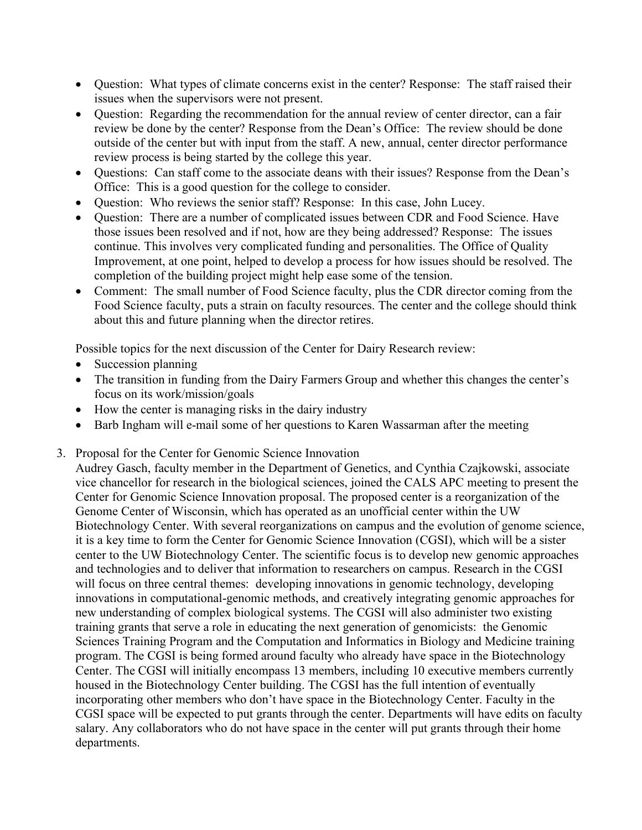- Question: What types of climate concerns exist in the center? Response: The staff raised their issues when the supervisors were not present.
- Question: Regarding the recommendation for the annual review of center director, can a fair review be done by the center? Response from the Dean's Office: The review should be done outside of the center but with input from the staff. A new, annual, center director performance review process is being started by the college this year.
- Questions: Can staff come to the associate deans with their issues? Response from the Dean's Office: This is a good question for the college to consider.
- Question: Who reviews the senior staff? Response: In this case, John Lucey.
- Question: There are a number of complicated issues between CDR and Food Science. Have those issues been resolved and if not, how are they being addressed? Response: The issues continue. This involves very complicated funding and personalities. The Office of Quality Improvement, at one point, helped to develop a process for how issues should be resolved. The completion of the building project might help ease some of the tension.
- Comment: The small number of Food Science faculty, plus the CDR director coming from the Food Science faculty, puts a strain on faculty resources. The center and the college should think about this and future planning when the director retires.

Possible topics for the next discussion of the Center for Dairy Research review:

- Succession planning
- The transition in funding from the Dairy Farmers Group and whether this changes the center's focus on its work/mission/goals
- How the center is managing risks in the dairy industry
- Barb Ingham will e-mail some of her questions to Karen Wassarman after the meeting
- 3. Proposal for the Center for Genomic Science Innovation

Audrey Gasch, faculty member in the Department of Genetics, and Cynthia Czajkowski, associate vice chancellor for research in the biological sciences, joined the CALS APC meeting to present the Center for Genomic Science Innovation proposal. The proposed center is a reorganization of the Genome Center of Wisconsin, which has operated as an unofficial center within the UW Biotechnology Center. With several reorganizations on campus and the evolution of genome science, it is a key time to form the Center for Genomic Science Innovation (CGSI), which will be a sister center to the UW Biotechnology Center. The scientific focus is to develop new genomic approaches and technologies and to deliver that information to researchers on campus. Research in the CGSI will focus on three central themes: developing innovations in genomic technology, developing innovations in computational-genomic methods, and creatively integrating genomic approaches for new understanding of complex biological systems. The CGSI will also administer two existing training grants that serve a role in educating the next generation of genomicists: the Genomic Sciences Training Program and the Computation and Informatics in Biology and Medicine training program. The CGSI is being formed around faculty who already have space in the Biotechnology Center. The CGSI will initially encompass 13 members, including 10 executive members currently housed in the Biotechnology Center building. The CGSI has the full intention of eventually incorporating other members who don't have space in the Biotechnology Center. Faculty in the CGSI space will be expected to put grants through the center. Departments will have edits on faculty salary. Any collaborators who do not have space in the center will put grants through their home departments.